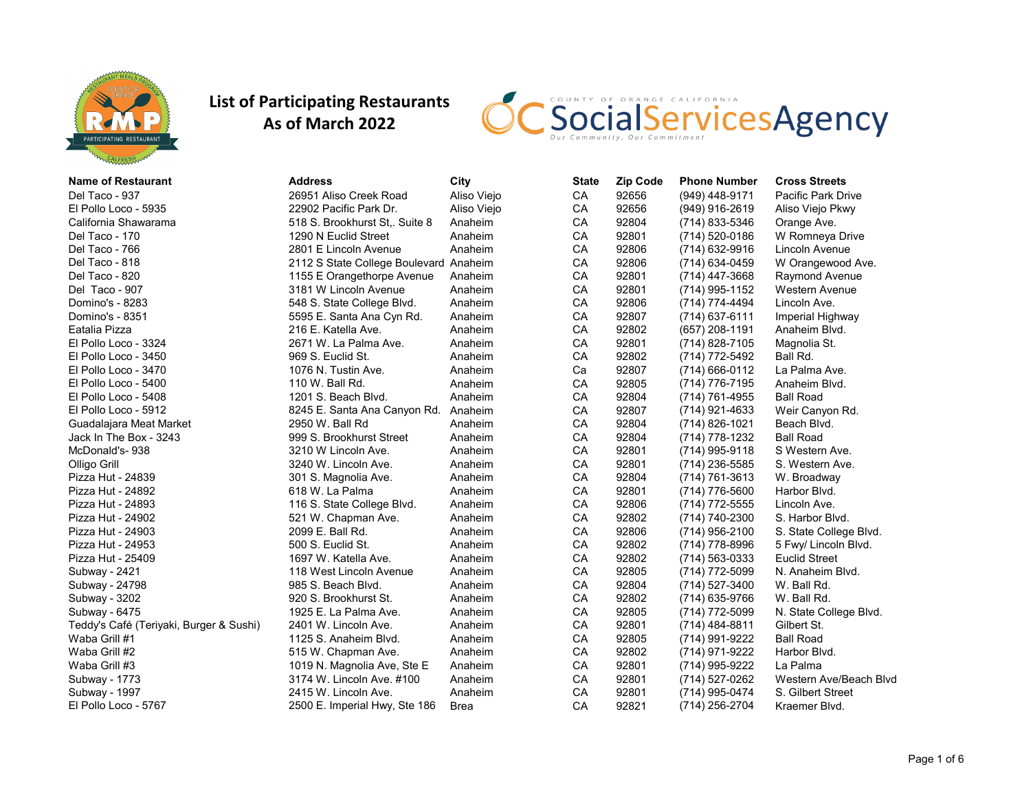



| <b>Name of Restaurant</b>               | Address                                | City        | <b>State</b> | <b>Zip Code</b> | <b>Phone Number</b> | <b>Cross Streets</b>   |
|-----------------------------------------|----------------------------------------|-------------|--------------|-----------------|---------------------|------------------------|
| Del Taco - 937                          | 26951 Aliso Creek Road                 | Aliso Viejo | CA           | 92656           | (949) 448-9171      | Pacific Park Drive     |
| El Pollo Loco - 5935                    | 22902 Pacific Park Dr.                 | Aliso Viejo | CA           | 92656           | (949) 916-2619      | Aliso Viejo Pkwy       |
| California Shawarama                    | 518 S. Brookhurst St, Suite 8          | Anaheim     | CA           | 92804           | (714) 833-5346      | Orange Ave.            |
| Del Taco - 170                          | 1290 N Euclid Street                   | Anaheim     | CA           | 92801           | (714) 520-0186      | W Romneya Drive        |
| Del Taco - 766                          | 2801 E Lincoln Avenue                  | Anaheim     | CA           | 92806           | (714) 632-9916      | Lincoln Avenue         |
| Del Taco - 818                          | 2112 S State College Boulevard Anaheim |             | CA           | 92806           | (714) 634-0459      | W Orangewood Ave.      |
| Del Taco - 820                          | 1155 E Orangethorpe Avenue             | Anaheim     | CA           | 92801           | $(714)$ 447-3668    | Raymond Avenue         |
| Del Taco - 907                          | 3181 W Lincoln Avenue                  | Anaheim     | CA           | 92801           | (714) 995-1152      | <b>Western Avenue</b>  |
| Domino's - 8283                         | 548 S. State College Blvd.             | Anaheim     | CA           | 92806           | (714) 774-4494      | Lincoln Ave.           |
| Domino's - 8351                         | 5595 E. Santa Ana Cyn Rd.              | Anaheim     | CA           | 92807           | $(714)$ 637-6111    | Imperial Highway       |
| Eatalia Pizza                           | 216 E. Katella Ave.                    | Anaheim     | CA           | 92802           | (657) 208-1191      | Anaheim Blvd.          |
| El Pollo Loco - 3324                    | 2671 W. La Palma Ave.                  | Anaheim     | CA           | 92801           | (714) 828-7105      | Magnolia St.           |
| El Pollo Loco - 3450                    | 969 S. Euclid St.                      | Anaheim     | CA           | 92802           | (714) 772-5492      | Ball Rd.               |
| El Pollo Loco - 3470                    | 1076 N. Tustin Ave.                    | Anaheim     | Ca           | 92807           | $(714)$ 666-0112    | La Palma Ave.          |
| El Pollo Loco - 5400                    | 110 W. Ball Rd.                        | Anaheim     | CA           | 92805           | (714) 776-7195      | Anaheim Blvd.          |
| El Pollo Loco - 5408                    | 1201 S. Beach Blvd.                    | Anaheim     | CA           | 92804           | (714) 761-4955      | <b>Ball Road</b>       |
| El Pollo Loco - 5912                    | 8245 E. Santa Ana Canyon Rd.           | Anaheim     | CA           | 92807           | (714) 921-4633      | Weir Canyon Rd.        |
| Guadalajara Meat Market                 | 2950 W. Ball Rd                        | Anaheim     | CA           | 92804           | (714) 826-1021      | Beach Blvd.            |
| Jack In The Box - 3243                  | 999 S. Brookhurst Street               | Anaheim     | CA           | 92804           | (714) 778-1232      | <b>Ball Road</b>       |
| McDonald's-938                          | 3210 W Lincoln Ave.                    | Anaheim     | CA           | 92801           | (714) 995-9118      | S Western Ave.         |
| Olligo Grill                            | 3240 W. Lincoln Ave.                   | Anaheim     | CA           | 92801           | (714) 236-5585      | S. Western Ave.        |
| Pizza Hut - 24839                       | 301 S. Magnolia Ave.                   | Anaheim     | CA           | 92804           | $(714) 761 - 3613$  | W. Broadway            |
| Pizza Hut - 24892                       | 618 W. La Palma                        | Anaheim     | CA           | 92801           | (714) 776-5600      | Harbor Blvd.           |
| Pizza Hut - 24893                       | 116 S. State College Blvd.             | Anaheim     | CA           | 92806           | (714) 772-5555      | Lincoln Ave.           |
| Pizza Hut - 24902                       | 521 W. Chapman Ave.                    | Anaheim     | CA           | 92802           | (714) 740-2300      | S. Harbor Blvd.        |
| Pizza Hut - 24903                       | 2099 E. Ball Rd.                       | Anaheim     | CA           | 92806           | (714) 956-2100      | S. State College Blvd. |
| Pizza Hut - 24953                       | 500 S. Euclid St.                      | Anaheim     | CA           | 92802           | (714) 778-8996      | 5 Fwy/ Lincoln Blvd.   |
| Pizza Hut - 25409                       | 1697 W. Katella Ave.                   | Anaheim     | CA           | 92802           | $(714) 563 - 0333$  | <b>Euclid Street</b>   |
| Subway - 2421                           | 118 West Lincoln Avenue                | Anaheim     | CA           | 92805           | (714) 772-5099      | N. Anaheim Blvd.       |
| Subway - 24798                          | 985 S. Beach Blvd.                     | Anaheim     | CA           | 92804           | (714) 527-3400      | W. Ball Rd.            |
| Subway - 3202                           | 920 S. Brookhurst St.                  | Anaheim     | CA           | 92802           | (714) 635-9766      | W. Ball Rd.            |
| Subway - 6475                           | 1925 E. La Palma Ave.                  | Anaheim     | CA           | 92805           | (714) 772-5099      | N. State College Blvd. |
| Teddy's Café (Teriyaki, Burger & Sushi) | 2401 W. Lincoln Ave.                   | Anaheim     | CA           | 92801           | $(714)$ 484-8811    | Gilbert St.            |
| Waba Grill #1                           | 1125 S. Anaheim Blvd.                  | Anaheim     | CA           | 92805           | (714) 991-9222      | <b>Ball Road</b>       |
| Waba Grill #2                           | 515 W. Chapman Ave.                    | Anaheim     | CA           | 92802           | (714) 971-9222      | Harbor Blvd.           |
| Waba Grill #3                           | 1019 N. Magnolia Ave, Ste E            | Anaheim     | CA           | 92801           | (714) 995-9222      | La Palma               |
| Subway - 1773                           | 3174 W. Lincoln Ave. #100              | Anaheim     | CA           | 92801           | (714) 527-0262      | Western Ave/Beach Blvd |
| Subway - 1997                           | 2415 W. Lincoln Ave.                   | Anaheim     | CA           | 92801           | (714) 995-0474      | S. Gilbert Street      |
| El Pollo Loco - 5767                    | 2500 E. Imperial Hwy, Ste 186          | Brea        | CA           | 92821           | (714) 256-2704      | Kraemer Blvd.          |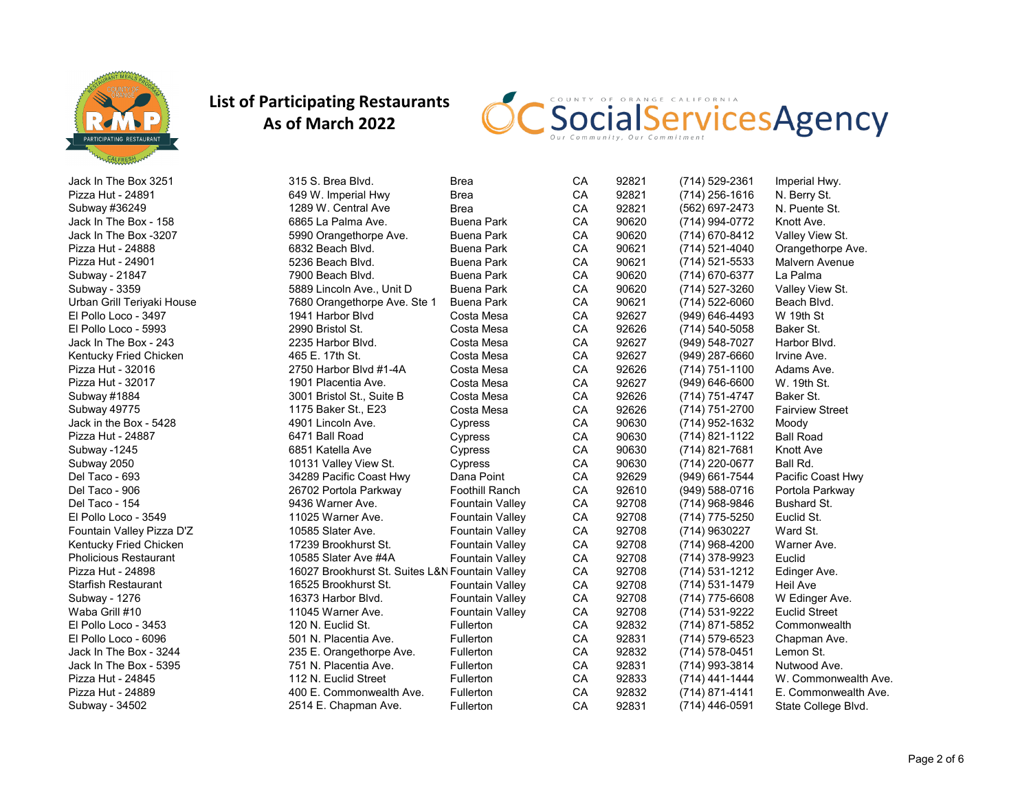

| 315 S. Brea Blvd.<br>92821<br><b>Brea</b><br>CA<br>(714) 529-2361<br>Imperial Hwy.                   |  |
|------------------------------------------------------------------------------------------------------|--|
| 92821<br>649 W. Imperial Hwy<br>CA<br>$(714)$ 256-1616<br><b>Brea</b><br>N. Berry St.                |  |
| CA<br>92821<br><b>Brea</b><br>(562) 697-2473<br>N. Puente St.<br>1289 W. Central Ave                 |  |
| CA<br>90620<br><b>Buena Park</b><br>(714) 994-0772<br>Knott Ave.<br>6865 La Palma Ave.               |  |
| 90620<br>CA<br><b>Buena Park</b><br>(714) 670-8412<br>Valley View St.<br>5990 Orangethorpe Ave.      |  |
| CA<br>90621<br>6832 Beach Blvd.<br><b>Buena Park</b><br>(714) 521-4040<br>Orangethorpe Ave.          |  |
| CA<br>90621<br><b>Buena Park</b><br>5236 Beach Blvd.<br>(714) 521-5533<br>Malvern Avenue             |  |
| CA<br>7900 Beach Blvd.<br><b>Buena Park</b><br>90620<br>(714) 670-6377<br>La Palma                   |  |
| 90620<br>CA<br><b>Buena Park</b><br>(714) 527-3260<br>5889 Lincoln Ave., Unit D<br>Valley View St.   |  |
| CA<br>90621<br>(714) 522-6060<br>7680 Orangethorpe Ave. Ste 1<br><b>Buena Park</b><br>Beach Blvd.    |  |
| 92627<br>CA<br>W 19th St<br>1941 Harbor Blvd<br>Costa Mesa<br>(949) 646-4493                         |  |
| 2990 Bristol St.<br>CA<br>92626<br>(714) 540-5058<br>Costa Mesa<br>Baker St.                         |  |
| 92627<br>CA<br>Harbor Blvd.<br>2235 Harbor Blvd.<br>Costa Mesa<br>(949) 548-7027                     |  |
| 92627<br>CA<br>(949) 287-6660<br>Irvine Ave.<br>Costa Mesa                                           |  |
| 92626<br>CA<br>2750 Harbor Blvd #1-4A<br>Costa Mesa<br>(714) 751-1100<br>Adams Ave.                  |  |
| 92627<br>1901 Placentia Ave.<br>CA<br>$(949) 646 - 6600$<br>W. 19th St.<br>Costa Mesa                |  |
| CA<br>92626<br>(714) 751-4747<br>Baker St.<br>3001 Bristol St., Suite B<br>Costa Mesa                |  |
| CA<br>92626<br>(714) 751-2700<br><b>Fairview Street</b><br>1175 Baker St., E23<br>Costa Mesa         |  |
| CA<br>90630<br>(714) 952-1632<br>4901 Lincoln Ave.<br>Cypress<br>Moody                               |  |
| CA<br>90630<br>6471 Ball Road<br>(714) 821-1122<br><b>Ball Road</b><br>Cypress                       |  |
| CA<br>90630<br>6851 Katella Ave<br>(714) 821-7681<br>Knott Ave<br>Cypress                            |  |
| 90630<br>CA<br>Ball Rd.<br>(714) 220-0677<br>10131 Valley View St.<br>Cypress                        |  |
| 92629<br>CA<br>Pacific Coast Hwy<br>34289 Pacific Coast Hwy<br>Dana Point<br>(949) 661-7544          |  |
| CA<br>92610<br>26702 Portola Parkway<br><b>Foothill Ranch</b><br>(949) 588-0716<br>Portola Parkway   |  |
| 92708<br>CA<br>9436 Warner Ave.<br><b>Fountain Valley</b><br>(714) 968-9846<br>Bushard St.           |  |
| CA<br>92708<br>11025 Warner Ave.<br>(714) 775-5250<br>Euclid St.<br><b>Fountain Valley</b>           |  |
| CA<br>92708<br><b>Fountain Valley</b><br>(714) 9630227<br>Ward St.<br>10585 Slater Ave.              |  |
| 92708<br>CA<br>(714) 968-4200<br>17239 Brookhurst St.<br>Fountain Valley<br>Warner Ave.              |  |
| CA<br>92708<br>10585 Slater Ave #4A<br><b>Fountain Valley</b><br>(714) 378-9923<br>Euclid            |  |
| CA<br>92708<br>16027 Brookhurst St. Suites L&N Fountain Valley<br>$(714) 531 - 1212$<br>Edinger Ave. |  |
| CA<br>92708<br>16525 Brookhurst St.<br><b>Fountain Valley</b><br>(714) 531-1479<br><b>Heil Ave</b>   |  |
| CA<br>92708<br>16373 Harbor Blvd.<br><b>Fountain Valley</b><br>(714) 775-6608<br>W Edinger Ave.      |  |
| 92708<br>CA<br><b>Fountain Valley</b><br>(714) 531-9222<br><b>Euclid Street</b><br>11045 Warner Ave. |  |
| CA<br>Fullerton<br>92832<br>Commonwealth<br>120 N. Euclid St.<br>(714) 871-5852                      |  |
| CA<br>92831<br>Fullerton<br>501 N. Placentia Ave.<br>(714) 579-6523<br>Chapman Ave.                  |  |
| CA<br>92832<br>Fullerton<br>Lemon St.<br>235 E. Orangethorpe Ave.<br>(714) 578-0451                  |  |
| CA<br>92831<br>751 N. Placentia Ave.<br>Nutwood Ave.<br>Fullerton<br>(714) 993-3814                  |  |
| CA<br>92833<br>112 N. Euclid Street<br>Fullerton<br>(714) 441-1444<br>W. Commonwealth Ave.           |  |
| 92832<br>CA<br>400 E. Commonwealth Ave.<br>Fullerton<br>$(714) 871 - 4141$<br>E. Commonwealth Ave.   |  |
| 2514 E. Chapman Ave.<br>CA<br>92831<br>(714) 446-0591<br>Fullerton<br>State College Blvd.            |  |
|                                                                                                      |  |

CSocialServicesAgency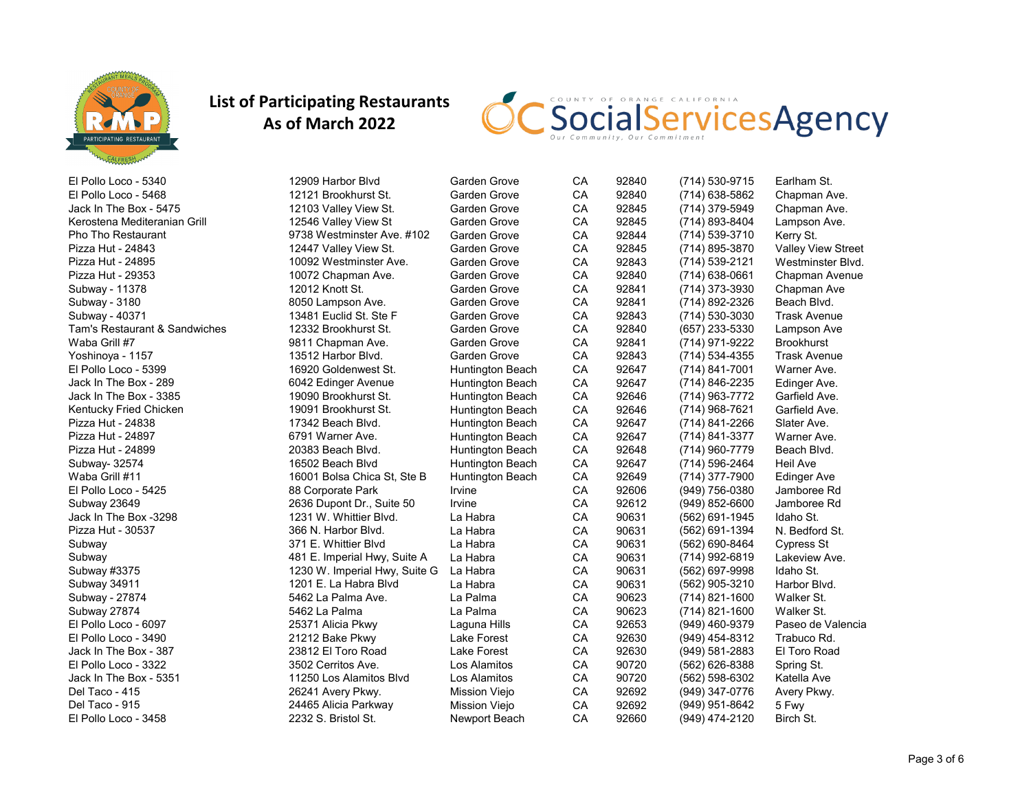

| El Pollo Loco - 5340          | 12909 Harbor Blvd             | Garden Grove            | CA | 92840 | (714) 530-9715     | Earlham St.               |
|-------------------------------|-------------------------------|-------------------------|----|-------|--------------------|---------------------------|
| El Pollo Loco - 5468          | 12121 Brookhurst St.          | Garden Grove            | CA | 92840 | (714) 638-5862     | Chapman Ave.              |
| Jack In The Box - 5475        | 12103 Valley View St.         | Garden Grove            | CA | 92845 | (714) 379-5949     | Chapman Ave.              |
| Kerostena Mediteranian Grill  | 12546 Valley View St          | Garden Grove            | CA | 92845 | (714) 893-8404     | Lampson Ave.              |
| Pho Tho Restaurant            | 9738 Westminster Ave. #102    | Garden Grove            | CA | 92844 | (714) 539-3710     | Kerry St.                 |
| Pizza Hut - 24843             | 12447 Valley View St.         | Garden Grove            | CA | 92845 | (714) 895-3870     | <b>Valley View Street</b> |
| Pizza Hut - 24895             | 10092 Westminster Ave.        | Garden Grove            | CA | 92843 | (714) 539-2121     | Westminster Blvd.         |
| Pizza Hut - 29353             | 10072 Chapman Ave.            | Garden Grove            | CA | 92840 | (714) 638-0661     | Chapman Avenue            |
| Subway - 11378                | 12012 Knott St.               | Garden Grove            | CA | 92841 | (714) 373-3930     | Chapman Ave               |
| Subway - 3180                 | 8050 Lampson Ave.             | Garden Grove            | CA | 92841 | (714) 892-2326     | Beach Blvd.               |
| Subway - 40371                | 13481 Euclid St. Ste F        | Garden Grove            | CA | 92843 | (714) 530-3030     | <b>Trask Avenue</b>       |
| Tam's Restaurant & Sandwiches | 12332 Brookhurst St.          | Garden Grove            | CA | 92840 | (657) 233-5330     | Lampson Ave               |
| Waba Grill #7                 | 9811 Chapman Ave.             | Garden Grove            | CA | 92841 | (714) 971-9222     | <b>Brookhurst</b>         |
| Yoshinoya - 1157              | 13512 Harbor Blvd.            | Garden Grove            | CA | 92843 | (714) 534-4355     | <b>Trask Avenue</b>       |
| El Pollo Loco - 5399          | 16920 Goldenwest St.          | <b>Huntington Beach</b> | CA | 92647 | (714) 841-7001     | Warner Ave.               |
| Jack In The Box - 289         | 6042 Edinger Avenue           | <b>Huntington Beach</b> | CA | 92647 | (714) 846-2235     | Edinger Ave.              |
| Jack In The Box - 3385        | 19090 Brookhurst St.          | Huntington Beach        | CA | 92646 | (714) 963-7772     | Garfield Ave.             |
| Kentucky Fried Chicken        | 19091 Brookhurst St.          | <b>Huntington Beach</b> | CA | 92646 | (714) 968-7621     | Garfield Ave.             |
| Pizza Hut - 24838             | 17342 Beach Blvd.             | <b>Huntington Beach</b> | CA | 92647 | (714) 841-2266     | Slater Ave.               |
| Pizza Hut - 24897             | 6791 Warner Ave.              | <b>Huntington Beach</b> | CA | 92647 | (714) 841-3377     | Warner Ave.               |
| Pizza Hut - 24899             | 20383 Beach Blvd.             | <b>Huntington Beach</b> | CA | 92648 | (714) 960-7779     | Beach Blvd.               |
| Subway- 32574                 | 16502 Beach Blvd              | Huntington Beach        | CA | 92647 | (714) 596-2464     | <b>Heil Ave</b>           |
| Waba Grill #11                | 16001 Bolsa Chica St, Ste B   | Huntington Beach        | CA | 92649 | (714) 377-7900     | <b>Edinger Ave</b>        |
| El Pollo Loco - 5425          | 88 Corporate Park             | Irvine                  | CA | 92606 | (949) 756-0380     | Jamboree Rd               |
| Subway 23649                  | 2636 Dupont Dr., Suite 50     | Irvine                  | CA | 92612 | (949) 852-6600     | Jamboree Rd               |
| Jack In The Box -3298         | 1231 W. Whittier Blvd.        | La Habra                | CA | 90631 | (562) 691-1945     | Idaho St.                 |
| Pizza Hut - 30537             | 366 N. Harbor Blvd.           | La Habra                | CA | 90631 | (562) 691-1394     | N. Bedford St.            |
| Subway                        | 371 E. Whittier Blyd          | La Habra                | CA | 90631 | (562) 690-8464     | Cypress St                |
| Subway                        | 481 E. Imperial Hwy, Suite A  | La Habra                | CA | 90631 | (714) 992-6819     | Lakeview Ave.             |
| Subway #3375                  | 1230 W. Imperial Hwy, Suite G | La Habra                | CA | 90631 | (562) 697-9998     | Idaho St.                 |
| Subway 34911                  | 1201 E. La Habra Blvd         | La Habra                | CA | 90631 | (562) 905-3210     | Harbor Blvd.              |
| Subway - 27874                | 5462 La Palma Ave.            | La Palma                | CA | 90623 | (714) 821-1600     | Walker St.                |
| Subway 27874                  | 5462 La Palma                 | La Palma                | CA | 90623 | $(714)$ 821-1600   | Walker St.                |
| El Pollo Loco - 6097          | 25371 Alicia Pkwy             | Laguna Hills            | CA | 92653 | (949) 460-9379     | Paseo de Valencia         |
| El Pollo Loco - 3490          | 21212 Bake Pkwy               | Lake Forest             | CA | 92630 | (949) 454-8312     | Trabuco Rd.               |
| Jack In The Box - 387         | 23812 El Toro Road            | Lake Forest             | CA | 92630 | $(949) 581 - 2883$ | El Toro Road              |
| El Pollo Loco - 3322          | 3502 Cerritos Ave.            | Los Alamitos            | CA | 90720 | (562) 626-8388     | Spring St.                |
| Jack In The Box - 5351        | 11250 Los Alamitos Blvd       | Los Alamitos            | CA | 90720 | (562) 598-6302     | Katella Ave               |
| Del Taco - 415                | 26241 Avery Pkwy.             | <b>Mission Viejo</b>    | CA | 92692 | (949) 347-0776     | Avery Pkwy.               |
| Del Taco - 915                | 24465 Alicia Parkway          | Mission Viejo           | CA | 92692 | (949) 951-8642     | 5 Fwy                     |
| El Pollo Loco - 3458          | 2232 S. Bristol St.           | Newport Beach           | CA | 92660 | (949) 474-2120     | Birch St.                 |

SocialServicesAgency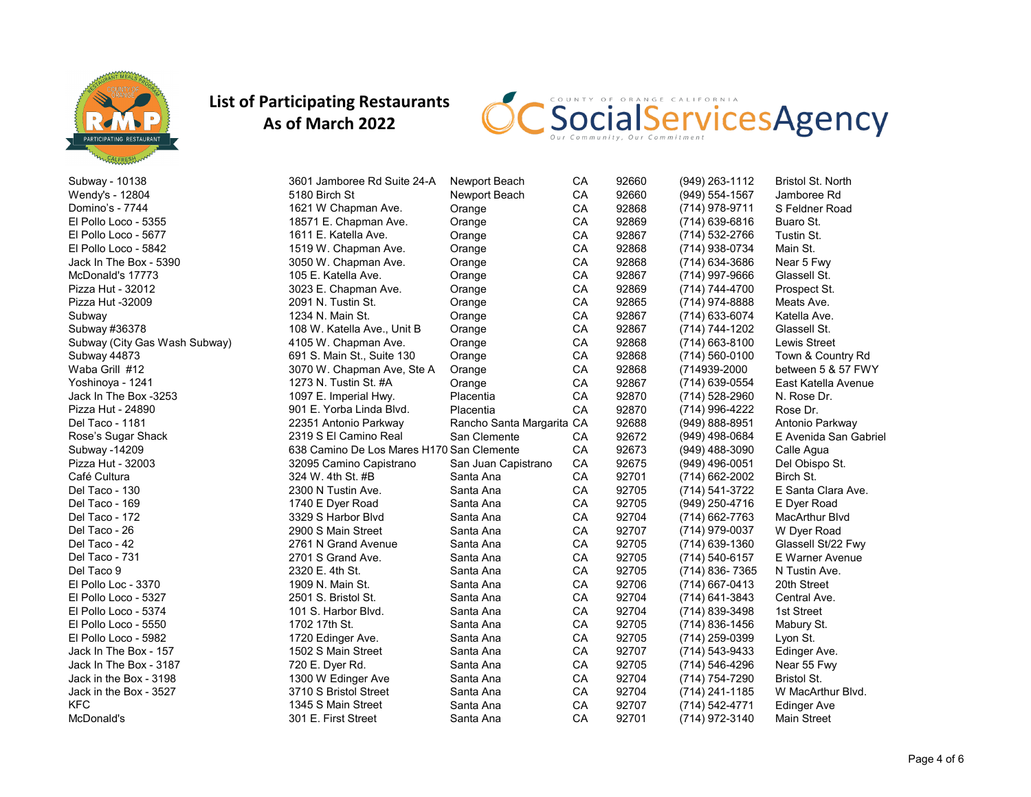

CSocialServicesAgency

| Subway - 10138                | 3601 Jamboree Rd Suite 24-A               | Newport Beach             | CA        | 92660 | (949) 263-1112   | <b>Bristol St. North</b> |
|-------------------------------|-------------------------------------------|---------------------------|-----------|-------|------------------|--------------------------|
| Wendy's - 12804               | 5180 Birch St                             | Newport Beach             | <b>CA</b> | 92660 | (949) 554-1567   | Jamboree Rd              |
| Domino's - 7744               | 1621 W Chapman Ave.                       | Orange                    | CA        | 92868 | (714) 978-9711   | S Feldner Road           |
| El Pollo Loco - 5355          | 18571 E. Chapman Ave.                     | Orange                    | CA        | 92869 | $(714)$ 639-6816 | Buaro St.                |
| El Pollo Loco - 5677          | 1611 E. Katella Ave.                      | Orange                    | CA        | 92867 | (714) 532-2766   | Tustin St.               |
| El Pollo Loco - 5842          | 1519 W. Chapman Ave.                      | Orange                    | CA        | 92868 | (714) 938-0734   | Main St.                 |
| Jack In The Box - 5390        | 3050 W. Chapman Ave.                      | Orange                    | CA        | 92868 | (714) 634-3686   | Near 5 Fwy               |
| McDonald's 17773              | 105 E. Katella Ave.                       | Orange                    | CA        | 92867 | (714) 997-9666   | Glassell St.             |
| Pizza Hut - 32012             | 3023 E. Chapman Ave.                      | Orange                    | CA        | 92869 | (714) 744-4700   | Prospect St.             |
| Pizza Hut -32009              | 2091 N. Tustin St.                        | Orange                    | CA        | 92865 | (714) 974-8888   | Meats Ave.               |
| Subway                        | 1234 N. Main St.                          | Orange                    | CA        | 92867 | (714) 633-6074   | Katella Ave.             |
| Subway #36378                 | 108 W. Katella Ave., Unit B               | Orange                    | CA        | 92867 | (714) 744-1202   | Glassell St.             |
| Subway (City Gas Wash Subway) | 4105 W. Chapman Ave.                      | Orange                    | CA        | 92868 | $(714)$ 663-8100 | <b>Lewis Street</b>      |
| Subway 44873                  | 691 S. Main St., Suite 130                | Orange                    | CA        | 92868 | $(714)$ 560-0100 | Town & Country Rd        |
| Waba Grill #12                | 3070 W. Chapman Ave, Ste A                | Orange                    | CA        | 92868 | (714939-2000     | between 5 & 57 FWY       |
| Yoshinoya - 1241              | 1273 N. Tustin St. #A                     | Orange                    | CA        | 92867 | (714) 639-0554   | East Katella Avenue      |
| Jack In The Box -3253         | 1097 E. Imperial Hwy.                     | Placentia                 | CA        | 92870 | (714) 528-2960   | N. Rose Dr.              |
| Pizza Hut - 24890             | 901 E. Yorba Linda Blvd.                  | Placentia                 | CA        | 92870 | (714) 996-4222   | Rose Dr.                 |
| Del Taco - 1181               | 22351 Antonio Parkway                     | Rancho Santa Margarita CA |           | 92688 | (949) 888-8951   | Antonio Parkway          |
| Rose's Sugar Shack            | 2319 S El Camino Real                     | San Clemente              | CA        | 92672 | $(949)$ 498-0684 | E Avenida San Gabriel    |
| Subway -14209                 | 638 Camino De Los Mares H170 San Clemente |                           | CA        | 92673 | $(949)$ 488-3090 | Calle Agua               |
| Pizza Hut - 32003             | 32095 Camino Capistrano                   | San Juan Capistrano       | CA        | 92675 | $(949)$ 496-0051 | Del Obispo St.           |
| Café Cultura                  | 324 W. 4th St. #B                         | Santa Ana                 | CA        | 92701 | (714) 662-2002   | Birch St.                |
| Del Taco - 130                | 2300 N Tustin Ave.                        | Santa Ana                 | CA        | 92705 | (714) 541-3722   | E Santa Clara Ave.       |
| Del Taco - 169                | 1740 E Dyer Road                          | Santa Ana                 | CA        | 92705 | (949) 250-4716   | E Dyer Road              |
| Del Taco - 172                | 3329 S Harbor Blvd                        | Santa Ana                 | CA        | 92704 | (714) 662-7763   | <b>MacArthur Blvd</b>    |
| Del Taco - 26                 | 2900 S Main Street                        | Santa Ana                 | CA        | 92707 | (714) 979-0037   | W Dyer Road              |
| Del Taco - 42                 | 2761 N Grand Avenue                       | Santa Ana                 | CA        | 92705 | (714) 639-1360   | Glassell St/22 Fwy       |
| Del Taco - 731                | 2701 S Grand Ave.                         | Santa Ana                 | CA        | 92705 | (714) 540-6157   | E Warner Avenue          |
| Del Taco 9                    | 2320 E. 4th St.                           | Santa Ana                 | CA        | 92705 | (714) 836-7365   | N Tustin Ave.            |
| El Pollo Loc - 3370           | 1909 N. Main St.                          | Santa Ana                 | CA        | 92706 | $(714)$ 667-0413 | 20th Street              |
| El Pollo Loco - 5327          | 2501 S. Bristol St.                       | Santa Ana                 | CA        | 92704 | (714) 641-3843   | Central Ave.             |
| El Pollo Loco - 5374          | 101 S. Harbor Blvd.                       | Santa Ana                 | CA        | 92704 | (714) 839-3498   | 1st Street               |
| El Pollo Loco - 5550          | 1702 17th St.                             | Santa Ana                 | CA        | 92705 | (714) 836-1456   | Mabury St.               |
| El Pollo Loco - 5982          | 1720 Edinger Ave.                         | Santa Ana                 | CA        | 92705 | (714) 259-0399   | Lyon St.                 |
| Jack In The Box - 157         | 1502 S Main Street                        | Santa Ana                 | CA        | 92707 | (714) 543-9433   | Edinger Ave.             |
| Jack In The Box - 3187        | 720 E. Dyer Rd.                           | Santa Ana                 | CA        | 92705 | (714) 546-4296   | Near 55 Fwy              |
| Jack in the Box - 3198        | 1300 W Edinger Ave                        | Santa Ana                 | CA        | 92704 | (714) 754-7290   | <b>Bristol St.</b>       |
| Jack in the Box - 3527        | 3710 S Bristol Street                     | Santa Ana                 | CA        | 92704 | (714) 241-1185   | W MacArthur Blvd.        |
| KFC                           | 1345 S Main Street                        | Santa Ana                 | CA        | 92707 | (714) 542-4771   | Edinger Ave              |
| McDonald's                    | 301 E. First Street                       | Santa Ana                 | CA        | 92701 | (714) 972-3140   | <b>Main Street</b>       |
|                               |                                           |                           |           |       |                  |                          |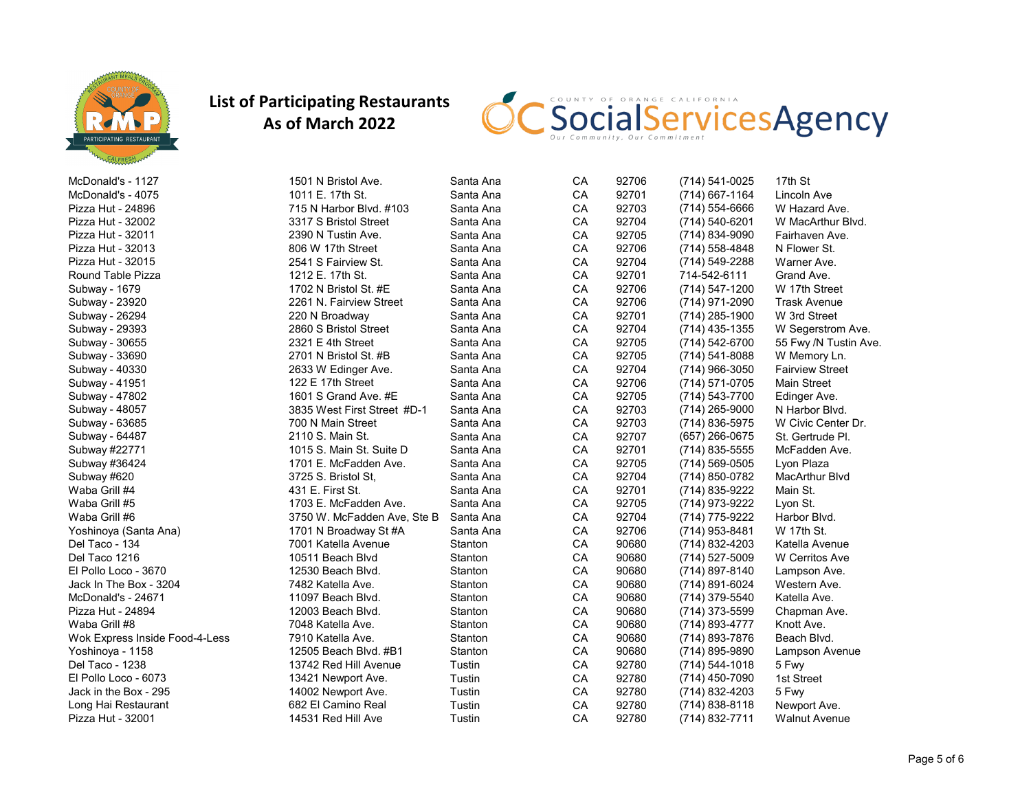

CSocialServicesAgency

| McDonald's - 1127              | 1501 N Bristol Ave.         | Santa Ana | CA | 92706 | (714) 541-0025     | 17th St                |
|--------------------------------|-----------------------------|-----------|----|-------|--------------------|------------------------|
| McDonald's - 4075              | 1011 E. 17th St.            | Santa Ana | CA | 92701 | $(714)$ 667-1164   | Lincoln Ave            |
| Pizza Hut - 24896              | 715 N Harbor Blvd. #103     | Santa Ana | CA | 92703 | $(714) 554 - 6666$ | W Hazard Ave.          |
| Pizza Hut - 32002              | 3317 S Bristol Street       | Santa Ana | CA | 92704 | (714) 540-6201     | W MacArthur Blvd.      |
| Pizza Hut - 32011              | 2390 N Tustin Ave.          | Santa Ana | CA | 92705 | (714) 834-9090     | Fairhaven Ave.         |
| Pizza Hut - 32013              | 806 W 17th Street           | Santa Ana | CA | 92706 | $(714)$ 558-4848   | N Flower St.           |
| Pizza Hut - 32015              | 2541 S Fairview St.         | Santa Ana | CA | 92704 | $(714) 549 - 2288$ | Warner Ave.            |
| Round Table Pizza              | 1212 E. 17th St.            | Santa Ana | CA | 92701 | 714-542-6111       | Grand Ave.             |
| Subway - 1679                  | 1702 N Bristol St. #E       | Santa Ana | CA | 92706 | (714) 547-1200     | W 17th Street          |
| Subway - 23920                 | 2261 N. Fairview Street     | Santa Ana | CA | 92706 | (714) 971-2090     | <b>Trask Avenue</b>    |
| Subway - 26294                 | 220 N Broadway              | Santa Ana | CA | 92701 | (714) 285-1900     | W 3rd Street           |
| Subway - 29393                 | 2860 S Bristol Street       | Santa Ana | CA | 92704 | $(714)$ 435-1355   | W Segerstrom Ave.      |
| Subway - 30655                 | 2321 E 4th Street           | Santa Ana | CA | 92705 | (714) 542-6700     | 55 Fwy /N Tustin Ave.  |
| Subway - 33690                 | 2701 N Bristol St. #B       | Santa Ana | CA | 92705 | $(714) 541 - 8088$ | W Memory Ln.           |
| Subway - 40330                 | 2633 W Edinger Ave.         | Santa Ana | CA | 92704 | $(714)$ 966-3050   | <b>Fairview Street</b> |
| Subway - 41951                 | 122 E 17th Street           | Santa Ana | CA | 92706 | (714) 571-0705     | <b>Main Street</b>     |
| Subway - 47802                 | 1601 S Grand Ave. #E        | Santa Ana | CA | 92705 | (714) 543-7700     | Edinger Ave.           |
| Subway - 48057                 | 3835 West First Street #D-1 | Santa Ana | CA | 92703 | $(714)$ 265-9000   | N Harbor Blvd.         |
| Subway - 63685                 | 700 N Main Street           | Santa Ana | CA | 92703 | (714) 836-5975     | W Civic Center Dr.     |
| Subway - 64487                 | 2110 S. Main St.            | Santa Ana | CA | 92707 | $(657)$ 266-0675   | St. Gertrude PI.       |
| Subway #22771                  | 1015 S. Main St. Suite D    | Santa Ana | CA | 92701 | $(714)$ 835-5555   | McFadden Ave.          |
| Subway #36424                  | 1701 E. McFadden Ave.       | Santa Ana | CA | 92705 | $(714)$ 569-0505   | Lyon Plaza             |
| Subway #620                    | 3725 S. Bristol St.         | Santa Ana | CA | 92704 | (714) 850-0782     | <b>MacArthur Blvd</b>  |
| Waba Grill #4                  | 431 E. First St.            | Santa Ana | CA | 92701 | (714) 835-9222     | Main St.               |
| Waba Grill #5                  | 1703 E. McFadden Ave.       | Santa Ana | CA | 92705 | (714) 973-9222     | Lyon St.               |
| Waba Grill #6                  | 3750 W. McFadden Ave, Ste B | Santa Ana | CA | 92704 | (714) 775-9222     | Harbor Blvd.           |
| Yoshinoya (Santa Ana)          | 1701 N Broadway St #A       | Santa Ana | CA | 92706 | (714) 953-8481     | W 17th St.             |
| Del Taco - 134                 | 7001 Katella Avenue         | Stanton   | CA | 90680 | (714) 832-4203     | Katella Avenue         |
| Del Taco 1216                  | 10511 Beach Blvd            | Stanton   | CA | 90680 | (714) 527-5009     | W Cerritos Ave         |
| El Pollo Loco - 3670           | 12530 Beach Blvd.           | Stanton   | CA | 90680 | (714) 897-8140     | Lampson Ave.           |
| Jack In The Box - 3204         | 7482 Katella Ave.           | Stanton   | CA | 90680 | (714) 891-6024     | Western Ave.           |
| McDonald's - 24671             | 11097 Beach Blvd.           | Stanton   | CA | 90680 | (714) 379-5540     | Katella Ave.           |
| Pizza Hut - 24894              | 12003 Beach Blvd.           | Stanton   | CA | 90680 | (714) 373-5599     | Chapman Ave.           |
| Waba Grill #8                  | 7048 Katella Ave.           | Stanton   | CA | 90680 | (714) 893-4777     | Knott Ave.             |
| Wok Express Inside Food-4-Less | 7910 Katella Ave.           | Stanton   | CA | 90680 | (714) 893-7876     | Beach Blvd.            |
| Yoshinoya - 1158               | 12505 Beach Blvd, #B1       | Stanton   | CA | 90680 | (714) 895-9890     | Lampson Avenue         |
| Del Taco - 1238                | 13742 Red Hill Avenue       | Tustin    | CA | 92780 | $(714) 544 - 1018$ | 5 Fwy                  |
| El Pollo Loco - 6073           | 13421 Newport Ave.          | Tustin    | CA | 92780 | $(714)$ 450-7090   | 1st Street             |
| Jack in the Box - 295          | 14002 Newport Ave.          | Tustin    | CA | 92780 | (714) 832-4203     | 5 Fwy                  |
| Long Hai Restaurant            | 682 El Camino Real          | Tustin    | CA | 92780 | $(714) 838 - 8118$ | Newport Ave.           |
| Pizza Hut - 32001              | 14531 Red Hill Ave          | Tustin    | CA | 92780 | (714) 832-7711     | <b>Walnut Avenue</b>   |